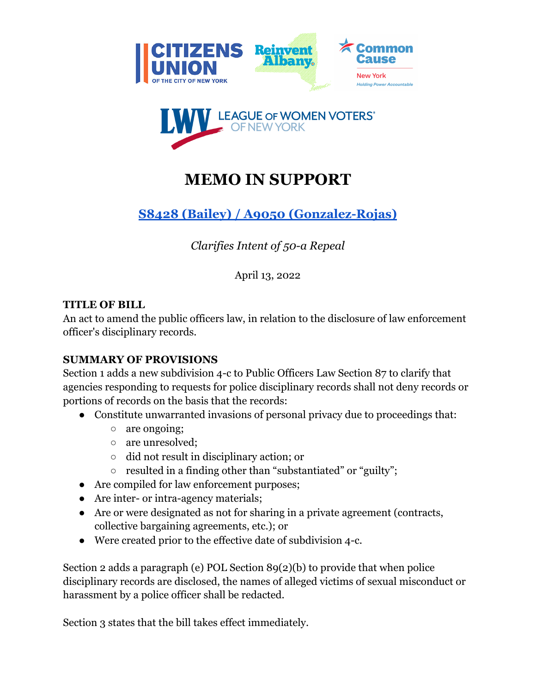



# **MEMO IN SUPPORT**

## **S8428 (Bailey) / A9050 [\(Gonzalez-Rojas\)](https://www.nysenate.gov/legislation/bills/2021/S8428)**

*Clarifies Intent of 50-a Repeal*

April 13, 2022

#### **TITLE OF BILL**

An act to amend the public officers law, in relation to the disclosure of law enforcement officer's disciplinary records.

### **SUMMARY OF PROVISIONS**

Section 1 adds a new subdivision 4-c to Public Officers Law Section 87 to clarify that agencies responding to requests for police disciplinary records shall not deny records or portions of records on the basis that the records:

- Constitute unwarranted invasions of personal privacy due to proceedings that:
	- are ongoing;
	- are unresolved;
	- did not result in disciplinary action; or
	- resulted in a finding other than "substantiated" or "guilty";
- Are compiled for law enforcement purposes;
- Are inter- or intra-agency materials;
- Are or were designated as not for sharing in a private agreement (contracts, collective bargaining agreements, etc.); or
- Were created prior to the effective date of subdivision 4-c.

Section 2 adds a paragraph (e) POL Section 89(2)(b) to provide that when police disciplinary records are disclosed, the names of alleged victims of sexual misconduct or harassment by a police officer shall be redacted.

Section 3 states that the bill takes effect immediately.